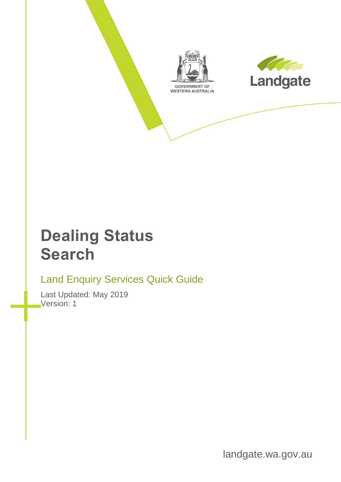



## **Dealing Status Search**

## Land Enquiry Services Quick Guide

Last Updated: May 2019 Version: 1

landgate.wa.gov.au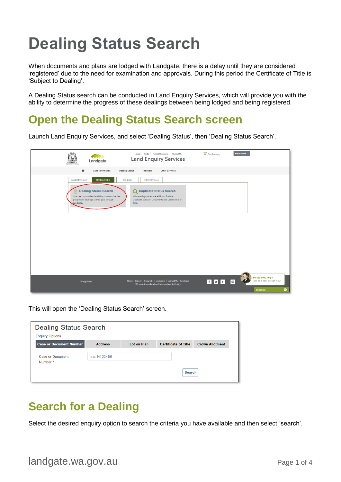# **Dealing Status Search**

When documents and plans are lodged with Landgate, there is a delay until they are considered 'registered' due to the need for examination and approvals. During this period the Certificate of Title is 'Subject to Dealing'.

A Dealing Status search can be conducted in Land Enquiry Services, which will provide you with the ability to determine the progress of these dealings between being lodged and being registered.

#### **Open the Dealing Status Search screen**

Launch Land Enquiry Services, and select 'Dealing Status', then 'Dealing Status Search'.

| Landgate<br><b>GOVERNMENT OF</b><br>WESTERN AUSTRALIA                                                                                                                                           | <b>Helpful Resources</b> Contact Us<br>FAQs<br>About<br><b>Land Enquiry Services</b>                                                                                              | $\frac{1}{2}$ Cart is empty | Mary Smith *                                                   |
|-------------------------------------------------------------------------------------------------------------------------------------------------------------------------------------------------|-----------------------------------------------------------------------------------------------------------------------------------------------------------------------------------|-----------------------------|----------------------------------------------------------------|
| 合<br><b>Land Information</b>                                                                                                                                                                    | <b>Dealing Status</b><br><b>Other Services</b><br>Products                                                                                                                        |                             |                                                                |
| <b>Land Information</b><br><b>Dealing Status</b><br><b>Dealing Status Search</b><br>This search provides the ability to determine the<br>progress of dealings as they pass through<br>Landgate. | Products<br>Other Services<br><b>Duplicate Status Search</b><br>Q<br>This search provides the ability to find the<br>Duplicate Status of Documents and Certificate's of<br>Title. |                             |                                                                |
|                                                                                                                                                                                                 |                                                                                                                                                                                   |                             |                                                                |
| wa.gov.au                                                                                                                                                                                       | Home   Privacy   Copyright   Disclaimer   Contact Us   Feedback<br>Western Australian Land Information Authority                                                                  | FVE                         | Do you need help?<br>Talk to a real person now!<br>$\boxtimes$ |
|                                                                                                                                                                                                 |                                                                                                                                                                                   |                             | m<br><b>Chat now</b>                                           |

This will open the 'Dealing Status Search' screen.

| <b>Dealing Status Search</b>        |                |                    |                             |                        |
|-------------------------------------|----------------|--------------------|-----------------------------|------------------------|
| <b>Enquiry Options</b>              |                |                    |                             |                        |
| <b>Case or Document Number</b>      | <b>Address</b> | <b>Lot on Plan</b> | <b>Certificate of Title</b> | <b>Crown Allotment</b> |
| <b>Case or Document</b><br>Number * | e.g. N123456   |                    |                             |                        |
|                                     |                |                    | <b>Search</b>               |                        |

## **Search for a Dealing**

Select the desired enquiry option to search the criteria you have available and then select 'search'.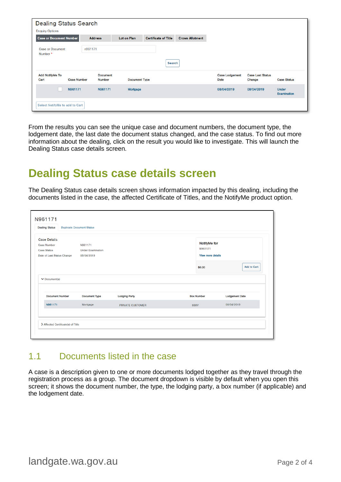| <b>Dealing Status Search</b><br><b>Enquiry Options</b> |                                  |                      |                             |                        |                                      |                                   |                                    |
|--------------------------------------------------------|----------------------------------|----------------------|-----------------------------|------------------------|--------------------------------------|-----------------------------------|------------------------------------|
| <b>Case or Document Number</b>                         | <b>Address</b>                   | Lot on Plan          | <b>Certificate of Title</b> | <b>Crown Allotment</b> |                                      |                                   |                                    |
| <b>Case or Document</b><br>Number <sup>*</sup>         | n961171                          |                      |                             |                        |                                      |                                   |                                    |
|                                                        |                                  |                      | Search                      |                        |                                      |                                   |                                    |
| <b>Add NotifyMe To</b><br>Cart<br><b>Case Number</b>   | <b>Document</b><br><b>Number</b> | <b>Document Type</b> |                             |                        | <b>Case Lodgement</b><br><b>Date</b> | <b>Case Last Status</b><br>Change | <b>Case Status</b>                 |
| N961171                                                | N961171                          | Mortgage             |                             |                        | 08/04/2019                           | 08/04/2019                        | <b>Under</b><br><b>Examination</b> |
| Select NotifyMe to add to Cart                         |                                  |                      |                             |                        |                                      |                                   |                                    |

From the results you can see the unique case and document numbers, the document type, the lodgement date, the last date the document status changed, and the case status. To find out more information about the dealing, click on the result you would like to investigate. This will launch the Dealing Status case details screen.

#### **Dealing Status case details screen**

The Dealing Status case details screen shows information impacted by this dealing, including the documents listed in the case, the affected Certificate of Titles, and the NotifyMe product option.

| <b>Case Details</b><br><b>Case Number</b><br><b>Case Status</b><br>Date of Last Status Change | N961171<br><b>Under Examination</b><br>08/04/2019 |                      | NotifyMe for<br>N961171<br><b>View more details</b> |                       |
|-----------------------------------------------------------------------------------------------|---------------------------------------------------|----------------------|-----------------------------------------------------|-----------------------|
|                                                                                               |                                                   |                      | \$0.00                                              | <b>Add to Cart</b>    |
| $\vee$ Document(s)<br><b>Document Number</b>                                                  | <b>Document Type</b>                              | <b>Lodging Party</b> | <b>Box Number</b>                                   | <b>Lodgement Date</b> |
| N961171                                                                                       | Mortgage                                          | PRIVATE CUSTOMER     | 888V                                                | 08/04/2019            |

#### 1.1 Documents listed in the case

A case is a description given to one or more documents lodged together as they travel through the registration process as a group. The document dropdown is visible by default when you open this screen; it shows the document number, the type, the lodging party, a box number (if applicable) and the lodgement date.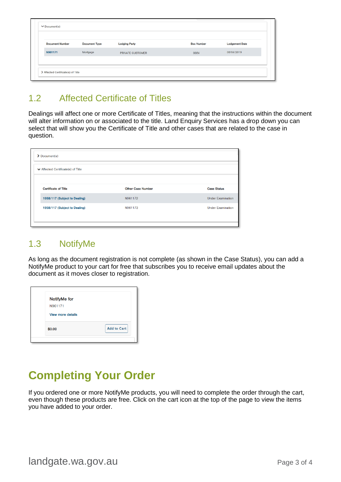| <b>Document Number</b> | <b>Document Type</b> | <b>Lodging Party</b> | <b>Box Number</b> | <b>Lodgement Date</b> |
|------------------------|----------------------|----------------------|-------------------|-----------------------|
| N961171                | Mortgage             | PRIVATE CUSTOMER     | 888V              | 08/04/2019            |

#### 1.2 Affected Certificate of Titles

Dealings will affect one or more Certificate of Titles, meaning that the instructions within the document will alter information on or associated to the title. Land Enquiry Services has a drop down you can select that will show you the Certificate of Title and other cases that are related to the case in question.

| $\sum$ Document(s)                                     |                          |                          |
|--------------------------------------------------------|--------------------------|--------------------------|
| $\blacktriangleright$ Affected Certificate(s) of Title |                          |                          |
|                                                        |                          |                          |
| <b>Certificate of Title</b>                            | <b>Other Case Number</b> | <b>Case Status</b>       |
| 1958/117 (Subject to Dealing)                          | N961172                  | <b>Under Examination</b> |
| 1958/117 (Subject to Dealing)                          | N961173                  | <b>Under Examination</b> |
|                                                        |                          |                          |
|                                                        |                          |                          |

#### 1.3 NotifyMe

As long as the document registration is not complete (as shown in the Case Status), you can add a NotifyMe product to your cart for free that subscribes you to receive email updates about the document as it moves closer to registration.

| NotifyMe for             |                    |
|--------------------------|--------------------|
| N961171                  |                    |
| <b>View more details</b> |                    |
| \$0.00                   | <b>Add to Cart</b> |

## **Completing Your Order**

If you ordered one or more NotifyMe products, you will need to complete the order through the cart, even though these products are free. Click on the cart icon at the top of the page to view the items you have added to your order.